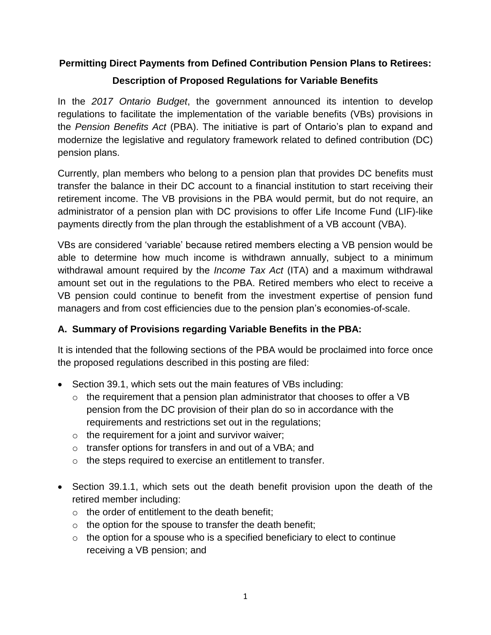### **Permitting Direct Payments from Defined Contribution Pension Plans to Retirees:**

## **Description of Proposed Regulations for Variable Benefits**

In the *2017 Ontario Budget*, the government announced its intention to develop regulations to facilitate the implementation of the variable benefits (VBs) provisions in the *Pension Benefits Act* (PBA). The initiative is part of Ontario's plan to expand and modernize the legislative and regulatory framework related to defined contribution (DC) pension plans.

Currently, plan members who belong to a pension plan that provides DC benefits must transfer the balance in their DC account to a financial institution to start receiving their retirement income. The VB provisions in the PBA would permit, but do not require, an administrator of a pension plan with DC provisions to offer Life Income Fund (LIF)-like payments directly from the plan through the establishment of a VB account (VBA).

VBs are considered 'variable' because retired members electing a VB pension would be able to determine how much income is withdrawn annually, subject to a minimum withdrawal amount required by the *Income Tax Act* (ITA) and a maximum withdrawal amount set out in the regulations to the PBA. Retired members who elect to receive a VB pension could continue to benefit from the investment expertise of pension fund managers and from cost efficiencies due to the pension plan's economies-of-scale.

### **A. Summary of Provisions regarding Variable Benefits in the PBA:**

It is intended that the following sections of the PBA would be proclaimed into force once the proposed regulations described in this posting are filed:

- Section 39.1, which sets out the main features of VBs including:
	- $\circ$  the requirement that a pension plan administrator that chooses to offer a VB pension from the DC provision of their plan do so in accordance with the requirements and restrictions set out in the regulations;
	- $\circ$  the requirement for a joint and survivor waiver;
	- o transfer options for transfers in and out of a VBA; and
	- o the steps required to exercise an entitlement to transfer.
- Section 39.1.1, which sets out the death benefit provision upon the death of the retired member including:
	- o the order of entitlement to the death benefit;
	- $\circ$  the option for the spouse to transfer the death benefit;
	- $\circ$  the option for a spouse who is a specified beneficiary to elect to continue receiving a VB pension; and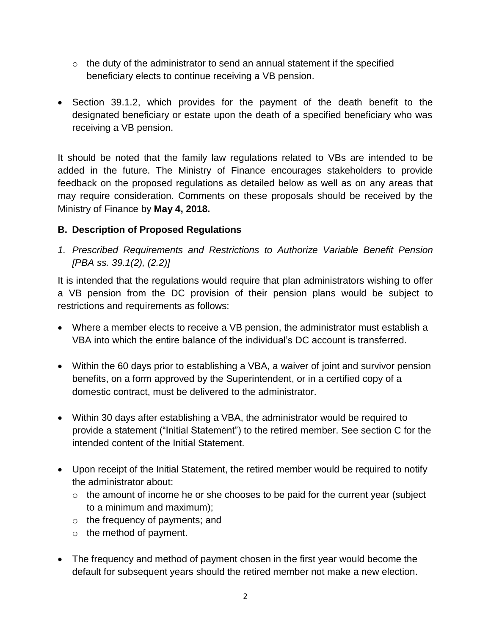- $\circ$  the duty of the administrator to send an annual statement if the specified beneficiary elects to continue receiving a VB pension.
- Section 39.1.2, which provides for the payment of the death benefit to the designated beneficiary or estate upon the death of a specified beneficiary who was receiving a VB pension.

It should be noted that the family law regulations related to VBs are intended to be added in the future. The Ministry of Finance encourages stakeholders to provide feedback on the proposed regulations as detailed below as well as on any areas that may require consideration. Comments on these proposals should be received by the Ministry of Finance by **May 4, 2018.**

### **B. Description of Proposed Regulations**

*1. Prescribed Requirements and Restrictions to Authorize Variable Benefit Pension [PBA ss. 39.1(2), (2.2)]*

It is intended that the regulations would require that plan administrators wishing to offer a VB pension from the DC provision of their pension plans would be subject to restrictions and requirements as follows:

- Where a member elects to receive a VB pension, the administrator must establish a VBA into which the entire balance of the individual's DC account is transferred.
- Within the 60 days prior to establishing a VBA, a waiver of joint and survivor pension benefits, on a form approved by the Superintendent, or in a certified copy of a domestic contract, must be delivered to the administrator.
- Within 30 days after establishing a VBA, the administrator would be required to provide a statement ("Initial Statement") to the retired member. See section C for the intended content of the Initial Statement.
- Upon receipt of the Initial Statement, the retired member would be required to notify the administrator about:
	- $\circ$  the amount of income he or she chooses to be paid for the current year (subject to a minimum and maximum);
	- o the frequency of payments; and
	- o the method of payment.
- The frequency and method of payment chosen in the first year would become the default for subsequent years should the retired member not make a new election.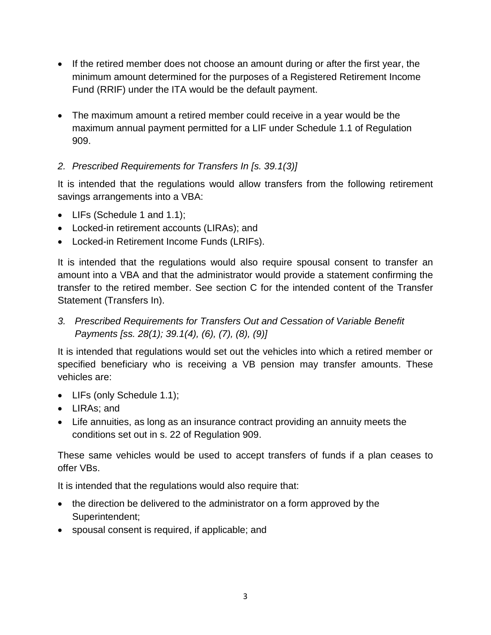- If the retired member does not choose an amount during or after the first year, the minimum amount determined for the purposes of a Registered Retirement Income Fund (RRIF) under the ITA would be the default payment.
- The maximum amount a retired member could receive in a year would be the maximum annual payment permitted for a LIF under Schedule 1.1 of Regulation 909.

## *2. Prescribed Requirements for Transfers In [s. 39.1(3)]*

It is intended that the regulations would allow transfers from the following retirement savings arrangements into a VBA:

- LIFs (Schedule 1 and 1.1);
- Locked-in retirement accounts (LIRAs); and
- Locked-in Retirement Income Funds (LRIFs).

It is intended that the regulations would also require spousal consent to transfer an amount into a VBA and that the administrator would provide a statement confirming the transfer to the retired member. See section C for the intended content of the Transfer Statement (Transfers In).

*3. Prescribed Requirements for Transfers Out and Cessation of Variable Benefit Payments [ss. 28(1); 39.1(4), (6), (7), (8), (9)]*

It is intended that regulations would set out the vehicles into which a retired member or specified beneficiary who is receiving a VB pension may transfer amounts. These vehicles are:

- LIFs (only Schedule 1.1);
- LIRAs: and
- Life annuities, as long as an insurance contract providing an annuity meets the conditions set out in s. 22 of Regulation 909.

These same vehicles would be used to accept transfers of funds if a plan ceases to offer VBs.

It is intended that the regulations would also require that:

- the direction be delivered to the administrator on a form approved by the Superintendent;
- spousal consent is required, if applicable; and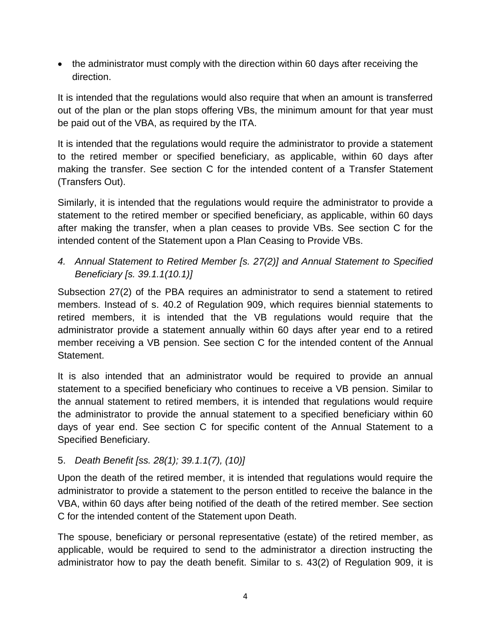• the administrator must comply with the direction within 60 days after receiving the direction.

It is intended that the regulations would also require that when an amount is transferred out of the plan or the plan stops offering VBs, the minimum amount for that year must be paid out of the VBA, as required by the ITA.

It is intended that the regulations would require the administrator to provide a statement to the retired member or specified beneficiary, as applicable, within 60 days after making the transfer. See section C for the intended content of a Transfer Statement (Transfers Out).

Similarly, it is intended that the regulations would require the administrator to provide a statement to the retired member or specified beneficiary, as applicable, within 60 days after making the transfer, when a plan ceases to provide VBs. See section C for the intended content of the Statement upon a Plan Ceasing to Provide VBs.

# *4. Annual Statement to Retired Member [s. 27(2)] and Annual Statement to Specified Beneficiary [s. 39.1.1(10.1)]*

Subsection 27(2) of the PBA requires an administrator to send a statement to retired members. Instead of s. 40.2 of Regulation 909, which requires biennial statements to retired members, it is intended that the VB regulations would require that the administrator provide a statement annually within 60 days after year end to a retired member receiving a VB pension. See section C for the intended content of the Annual Statement.

It is also intended that an administrator would be required to provide an annual statement to a specified beneficiary who continues to receive a VB pension. Similar to the annual statement to retired members, it is intended that regulations would require the administrator to provide the annual statement to a specified beneficiary within 60 days of year end. See section C for specific content of the Annual Statement to a Specified Beneficiary.

### 5. *Death Benefit [ss. 28(1); 39.1.1(7), (10)]*

Upon the death of the retired member, it is intended that regulations would require the administrator to provide a statement to the person entitled to receive the balance in the VBA, within 60 days after being notified of the death of the retired member. See section C for the intended content of the Statement upon Death.

The spouse, beneficiary or personal representative (estate) of the retired member, as applicable, would be required to send to the administrator a direction instructing the administrator how to pay the death benefit. Similar to s. 43(2) of Regulation 909, it is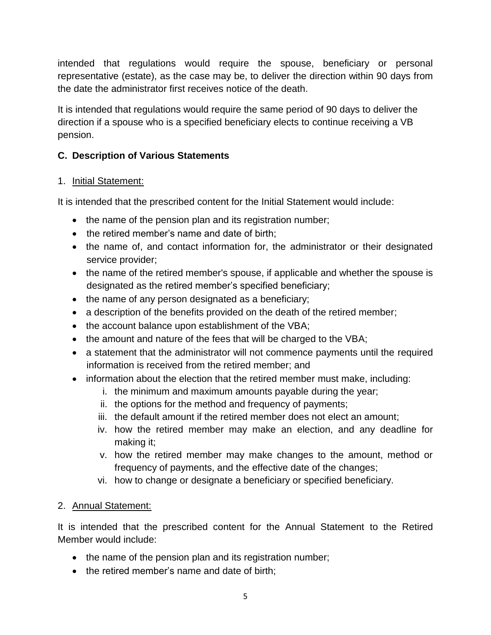intended that regulations would require the spouse, beneficiary or personal representative (estate), as the case may be, to deliver the direction within 90 days from the date the administrator first receives notice of the death.

It is intended that regulations would require the same period of 90 days to deliver the direction if a spouse who is a specified beneficiary elects to continue receiving a VB pension.

### **C. Description of Various Statements**

### 1. Initial Statement:

It is intended that the prescribed content for the Initial Statement would include:

- the name of the pension plan and its registration number;
- the retired member's name and date of birth;
- the name of, and contact information for, the administrator or their designated service provider;
- the name of the retired member's spouse, if applicable and whether the spouse is designated as the retired member's specified beneficiary;
- the name of any person designated as a beneficiary;
- a description of the benefits provided on the death of the retired member;
- the account balance upon establishment of the VBA;
- the amount and nature of the fees that will be charged to the VBA;
- a statement that the administrator will not commence payments until the required information is received from the retired member; and
- information about the election that the retired member must make, including:
	- i. the minimum and maximum amounts payable during the year;
	- ii. the options for the method and frequency of payments;
	- iii. the default amount if the retired member does not elect an amount;
	- iv. how the retired member may make an election, and any deadline for making it;
	- v. how the retired member may make changes to the amount, method or frequency of payments, and the effective date of the changes;
	- vi. how to change or designate a beneficiary or specified beneficiary.
- 2. Annual Statement:

It is intended that the prescribed content for the Annual Statement to the Retired Member would include:

- the name of the pension plan and its registration number;
- the retired member's name and date of birth: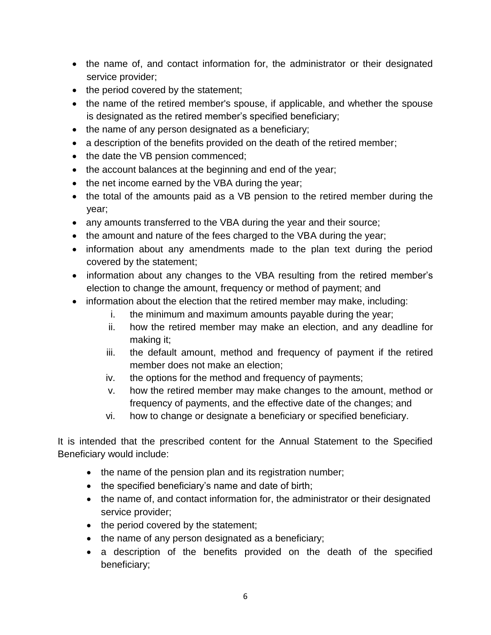- the name of, and contact information for, the administrator or their designated service provider;
- the period covered by the statement;
- the name of the retired member's spouse, if applicable, and whether the spouse is designated as the retired member's specified beneficiary;
- the name of any person designated as a beneficiary;
- a description of the benefits provided on the death of the retired member;
- the date the VB pension commenced;
- the account balances at the beginning and end of the year;
- the net income earned by the VBA during the year;
- the total of the amounts paid as a VB pension to the retired member during the year;
- any amounts transferred to the VBA during the year and their source;
- the amount and nature of the fees charged to the VBA during the year;
- information about any amendments made to the plan text during the period covered by the statement;
- information about any changes to the VBA resulting from the retired member's election to change the amount, frequency or method of payment; and
- information about the election that the retired member may make, including:
	- i. the minimum and maximum amounts payable during the year;
	- ii. how the retired member may make an election, and any deadline for making it;
	- iii. the default amount, method and frequency of payment if the retired member does not make an election;
	- iv. the options for the method and frequency of payments;
	- v. how the retired member may make changes to the amount, method or frequency of payments, and the effective date of the changes; and
	- vi. how to change or designate a beneficiary or specified beneficiary.

It is intended that the prescribed content for the Annual Statement to the Specified Beneficiary would include:

- the name of the pension plan and its registration number;
- the specified beneficiary's name and date of birth;
- the name of, and contact information for, the administrator or their designated service provider;
- the period covered by the statement;
- the name of any person designated as a beneficiary;
- a description of the benefits provided on the death of the specified beneficiary;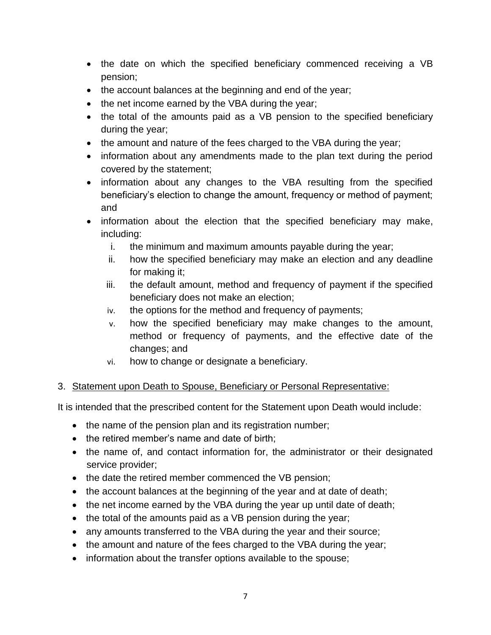- the date on which the specified beneficiary commenced receiving a VB pension;
- the account balances at the beginning and end of the year;
- the net income earned by the VBA during the year;
- the total of the amounts paid as a VB pension to the specified beneficiary during the year;
- the amount and nature of the fees charged to the VBA during the year;
- information about any amendments made to the plan text during the period covered by the statement;
- information about any changes to the VBA resulting from the specified beneficiary's election to change the amount, frequency or method of payment; and
- information about the election that the specified beneficiary may make, including:
	- i. the minimum and maximum amounts payable during the year;
	- ii. how the specified beneficiary may make an election and any deadline for making it;
	- iii. the default amount, method and frequency of payment if the specified beneficiary does not make an election;
	- iv. the options for the method and frequency of payments;
	- v. how the specified beneficiary may make changes to the amount, method or frequency of payments, and the effective date of the changes; and
	- vi. how to change or designate a beneficiary.

## 3. Statement upon Death to Spouse, Beneficiary or Personal Representative:

It is intended that the prescribed content for the Statement upon Death would include:

- the name of the pension plan and its registration number;
- the retired member's name and date of birth:
- the name of, and contact information for, the administrator or their designated service provider;
- the date the retired member commenced the VB pension;
- the account balances at the beginning of the year and at date of death;
- $\bullet$  the net income earned by the VBA during the year up until date of death;
- the total of the amounts paid as a VB pension during the year;
- any amounts transferred to the VBA during the year and their source;
- the amount and nature of the fees charged to the VBA during the year;
- information about the transfer options available to the spouse;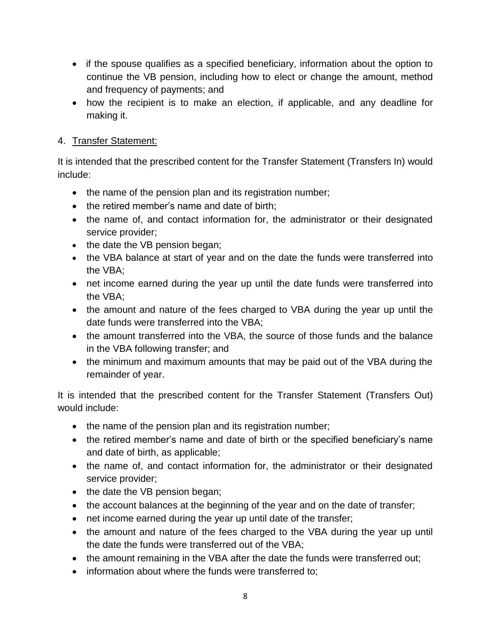- if the spouse qualifies as a specified beneficiary, information about the option to continue the VB pension, including how to elect or change the amount, method and frequency of payments; and
- how the recipient is to make an election, if applicable, and any deadline for making it.

## 4. Transfer Statement:

It is intended that the prescribed content for the Transfer Statement (Transfers In) would include:

- the name of the pension plan and its registration number;
- the retired member's name and date of birth;
- the name of, and contact information for, the administrator or their designated service provider;
- the date the VB pension began;
- the VBA balance at start of year and on the date the funds were transferred into the VBA;
- net income earned during the year up until the date funds were transferred into the VBA;
- the amount and nature of the fees charged to VBA during the year up until the date funds were transferred into the VBA;
- the amount transferred into the VBA, the source of those funds and the balance in the VBA following transfer; and
- the minimum and maximum amounts that may be paid out of the VBA during the remainder of year.

It is intended that the prescribed content for the Transfer Statement (Transfers Out) would include:

- the name of the pension plan and its registration number;
- the retired member's name and date of birth or the specified beneficiary's name and date of birth, as applicable;
- the name of, and contact information for, the administrator or their designated service provider;
- the date the VB pension began;
- the account balances at the beginning of the year and on the date of transfer;
- net income earned during the year up until date of the transfer;
- the amount and nature of the fees charged to the VBA during the year up until the date the funds were transferred out of the VBA;
- the amount remaining in the VBA after the date the funds were transferred out;
- information about where the funds were transferred to;